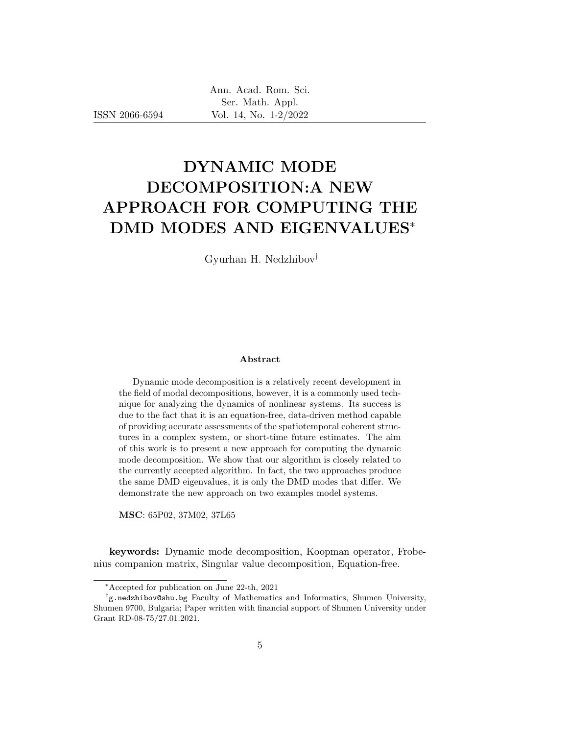ISSN 2066-6594

# DYNAMIC MODE DECOMPOSITION:A NEW APPROACH FOR COMPUTING THE DMD MODES AND EIGENVALUES<sup>∗</sup>

Gyurhan H. Nedzhibov†

#### Abstract

Dynamic mode decomposition is a relatively recent development in the field of modal decompositions, however, it is a commonly used technique for analyzing the dynamics of nonlinear systems. Its success is due to the fact that it is an equation-free, data-driven method capable of providing accurate assessments of the spatiotemporal coherent structures in a complex system, or short-time future estimates. The aim of this work is to present a new approach for computing the dynamic mode decomposition. We show that our algorithm is closely related to the currently accepted algorithm. In fact, the two approaches produce the same DMD eigenvalues, it is only the DMD modes that differ. We demonstrate the new approach on two examples model systems.

MSC: 65P02, 37M02, 37L65

keywords: Dynamic mode decomposition, Koopman operator, Frobenius companion matrix, Singular value decomposition, Equation-free.

<sup>∗</sup>Accepted for publication on June 22-th, 2021

<sup>†</sup> g.nedzhibov@shu.bg Faculty of Mathematics and Informatics, Shumen University, Shumen 9700, Bulgaria; Paper written with financial support of Shumen University under Grant RD-08-75/27.01.2021.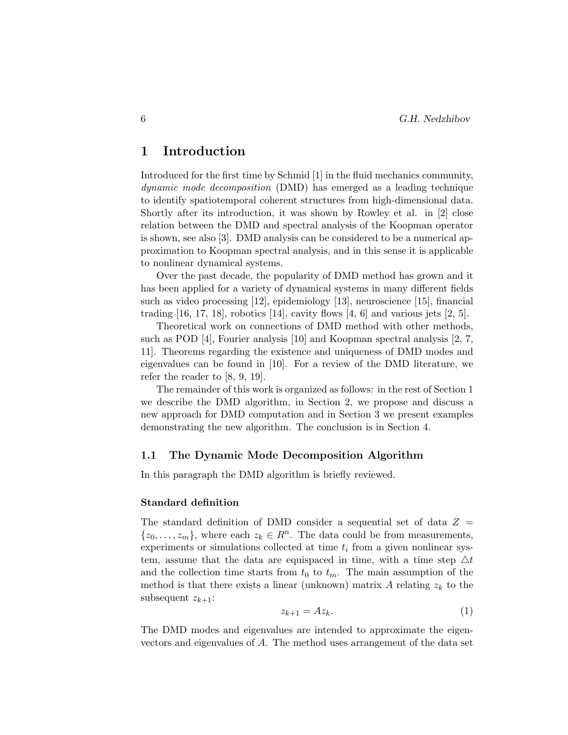## 1 Introduction

Introduced for the first time by Schmid [1] in the fluid mechanics community, dynamic mode decomposition (DMD) has emerged as a leading technique to identify spatiotemporal coherent structures from high-dimensional data. Shortly after its introduction, it was shown by Rowley et al. in [2] close relation between the DMD and spectral analysis of the Koopman operator is shown, see also [3]. DMD analysis can be considered to be a numerical approximation to Koopman spectral analysis, and in this sense it is applicable to nonlinear dynamical systems.

Over the past decade, the popularity of DMD method has grown and it has been applied for a variety of dynamical systems in many different fields such as video processing [12], epidemiology [13], neuroscience [15], financial trading  $[16, 17, 18]$ , robotics  $[14]$ , cavity flows  $[4, 6]$  and various jets  $[2, 5]$ .

Theoretical work on connections of DMD method with other methods, such as POD [4], Fourier analysis [10] and Koopman spectral analysis [2, 7, 11]. Theorems regarding the existence and uniqueness of DMD modes and eigenvalues can be found in [10]. For a review of the DMD literature, we refer the reader to [8, 9, 19].

The remainder of this work is organized as follows: in the rest of Section 1 we describe the DMD algorithm, in Section 2, we propose and discuss a new approach for DMD computation and in Section 3 we present examples demonstrating the new algorithm. The conclusion is in Section 4.

#### 1.1 The Dynamic Mode Decomposition Algorithm

In this paragraph the DMD algorithm is briefly reviewed.

#### Standard definition

The standard definition of DMD consider a sequential set of data  $Z =$  $\{z_0, \ldots, z_m\}$ , where each  $z_k \in \mathbb{R}^n$ . The data could be from measurements, experiments or simulations collected at time  $t_i$  from a given nonlinear system, assume that the data are equispaced in time, with a time step  $\Delta t$ and the collection time starts from  $t_0$  to  $t_m$ . The main assumption of the method is that there exists a linear (unknown) matrix A relating  $z_k$  to the subsequent  $z_{k+1}$ :

$$
z_{k+1} = Az_k. \tag{1}
$$

The DMD modes and eigenvalues are intended to approximate the eigenvectors and eigenvalues of A. The method uses arrangement of the data set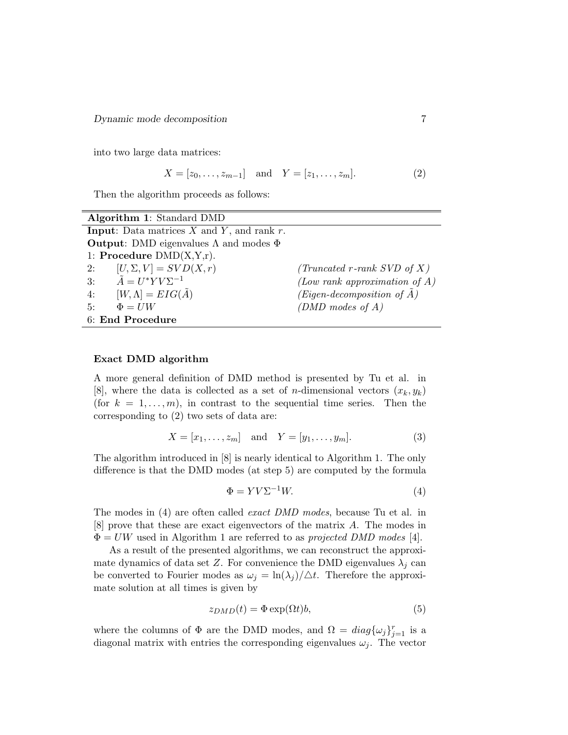Dynamic mode decomposition 7

into two large data matrices:

$$
X = [z_0, \dots, z_{m-1}] \text{ and } Y = [z_1, \dots, z_m].
$$
 (2)

Then the algorithm proceeds as follows:

| Algorithm 1: Standard DMD                                 |                                       |
|-----------------------------------------------------------|---------------------------------------|
| <b>Input:</b> Data matrices $X$ and $Y$ , and rank $r$ .  |                                       |
| <b>Output:</b> DMD eigenvalues $\Lambda$ and modes $\Phi$ |                                       |
| 1: Procedure $DMD(X,Y,r)$ .                               |                                       |
| $[U, \Sigma, V] = SVD(X, r)$<br>2:                        | (Truncated r-rank SVD of X)           |
| 3: $\tilde{A} = U^* Y V \Sigma^{-1}$                      | (Low rank approximation of $A$ )      |
| $[W,\Lambda] = EIG(\tilde{A})$<br>4:                      | (Eigen-decomposition of $\tilde{A}$ ) |
| 5:<br>$\Phi = I/W$                                        | (DMD modes of $A$ )                   |
| 6: End Procedure                                          |                                       |

#### Exact DMD algorithm

A more general definition of DMD method is presented by Tu et al. in [8], where the data is collected as a set of *n*-dimensional vectors  $(x_k, y_k)$ (for  $k = 1, \ldots, m$ ), in contrast to the sequential time series. Then the corresponding to (2) two sets of data are:

$$
X = [x_1, ..., x_m]
$$
 and  $Y = [y_1, ..., y_m].$  (3)

The algorithm introduced in [8] is nearly identical to Algorithm 1. The only difference is that the DMD modes (at step 5) are computed by the formula

$$
\Phi = YV\Sigma^{-1}W.\tag{4}
$$

The modes in (4) are often called exact DMD modes, because Tu et al. in [8] prove that these are exact eigenvectors of the matrix A. The modes in  $\Phi = UW$  used in Algorithm 1 are referred to as projected DMD modes [4].

As a result of the presented algorithms, we can reconstruct the approximate dynamics of data set Z. For convenience the DMD eigenvalues  $\lambda_j$  can be converted to Fourier modes as  $\omega_j = \ln(\lambda_j)/\Delta t$ . Therefore the approximate solution at all times is given by

$$
z_{DMD}(t) = \Phi \exp(\Omega t) b,\tag{5}
$$

where the columns of  $\Phi$  are the DMD modes, and  $\Omega = diag{\{\omega_j\}}_{j=1}^r$  is a diagonal matrix with entries the corresponding eigenvalues  $\omega_j$ . The vector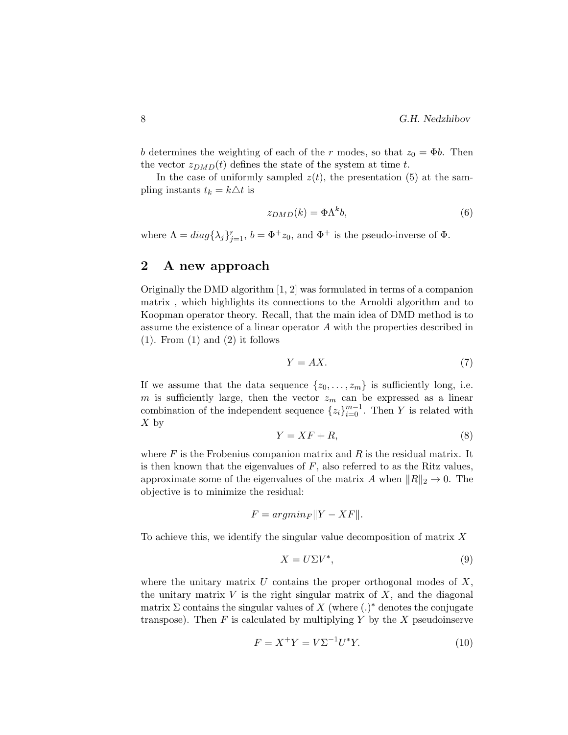b determines the weighting of each of the r modes, so that  $z_0 = \Phi b$ . Then the vector  $z_{DMD}(t)$  defines the state of the system at time t.

In the case of uniformly sampled  $z(t)$ , the presentation (5) at the sampling instants  $t_k = k\Delta t$  is

$$
z_{DMD}(k) = \Phi \Lambda^k b,\tag{6}
$$

where  $\Lambda = diag\{\lambda_j\}_{j=1}^r$ ,  $b = \Phi^+ z_0$ , and  $\Phi^+$  is the pseudo-inverse of  $\Phi$ .

## 2 A new approach

Originally the DMD algorithm [1, 2] was formulated in terms of a companion matrix , which highlights its connections to the Arnoldi algorithm and to Koopman operator theory. Recall, that the main idea of DMD method is to assume the existence of a linear operator A with the properties described in  $(1)$ . From  $(1)$  and  $(2)$  it follows

$$
Y = AX.\tag{7}
$$

If we assume that the data sequence  $\{z_0, \ldots, z_m\}$  is sufficiently long, i.e. m is sufficiently large, then the vector  $z_m$  can be expressed as a linear combination of the independent sequence  $\{z_i\}_{i=0}^{m-1}$ . Then Y is related with  $X$  by

$$
Y = XF + R,\tag{8}
$$

where  $F$  is the Frobenius companion matrix and  $R$  is the residual matrix. It is then known that the eigenvalues of  $F$ , also referred to as the Ritz values, approximate some of the eigenvalues of the matrix A when  $||R||_2 \rightarrow 0$ . The objective is to minimize the residual:

$$
F = argmin_{F} ||Y - XF||.
$$

To achieve this, we identify the singular value decomposition of matrix  $X$ 

$$
X = U\Sigma V^*,\tag{9}
$$

where the unitary matrix  $U$  contains the proper orthogonal modes of  $X$ , the unitary matrix  $V$  is the right singular matrix of  $X$ , and the diagonal matrix  $\Sigma$  contains the singular values of X (where  $(.)^*$  denotes the conjugate transpose). Then  $F$  is calculated by multiplying  $Y$  by the  $X$  pseudoinserve

$$
F = X^{+}Y = V\Sigma^{-1}U^{*}Y.
$$
 (10)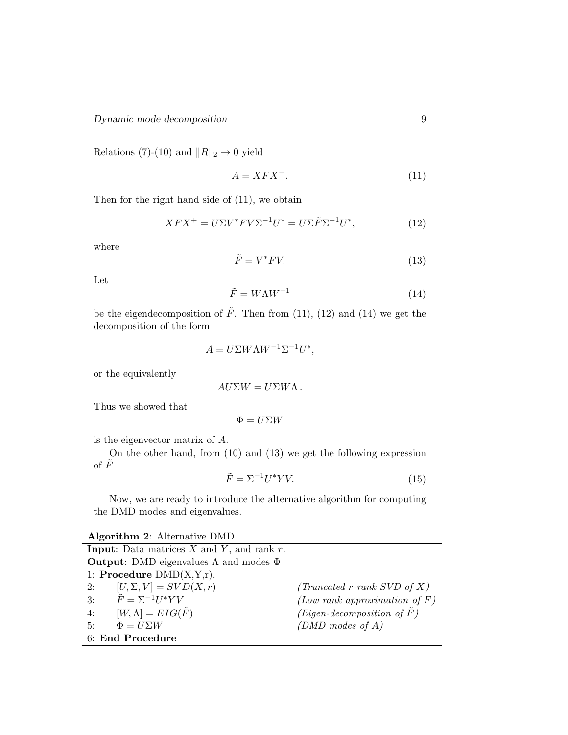Relations (7)-(10) and  $||R||_2 \rightarrow 0$  yield

$$
A = XFX^+.\tag{11}
$$

Then for the right hand side of (11), we obtain

$$
XFX^{+} = U\Sigma V^* F V \Sigma^{-1} U^* = U\Sigma \tilde{F} \Sigma^{-1} U^*,\tag{12}
$$

where

$$
\tilde{F} = V^* F V. \tag{13}
$$

Let

$$
\tilde{F} = W\Lambda W^{-1} \tag{14}
$$

be the eigendecomposition of  $\tilde{F}$ . Then from (11), (12) and (14) we get the decomposition of the form

$$
A = U\Sigma W\Lambda W^{-1}\Sigma^{-1}U^*,
$$

or the equivalently

$$
AU\Sigma W = U\Sigma W\Lambda.
$$

Thus we showed that

$$
\Phi=U\Sigma W
$$

is the eigenvector matrix of A.

On the other hand, from (10) and (13) we get the following expression of  $\tilde{F}$ 

$$
\tilde{F} = \Sigma^{-1} U^* Y V. \tag{15}
$$

Now, we are ready to introduce the alternative algorithm for computing the DMD modes and eigenvalues.

| <b>Algorithm 2:</b> Alternative DMD                       |                                  |
|-----------------------------------------------------------|----------------------------------|
| <b>Input:</b> Data matrices $X$ and $Y$ , and rank $r$ .  |                                  |
| <b>Output:</b> DMD eigenvalues $\Lambda$ and modes $\Phi$ |                                  |
| 1: Procedure $DMD(X, Y, r)$ .                             |                                  |
| $[U, \Sigma, V] = SVD(X, r)$<br>2:                        | (Truncated r-rank SVD of $X$ )   |
| $\tilde{F} = \Sigma^{-1} U^* Y V$<br>3:                   | (Low rank approximation of $F$ ) |
| $[W,\Lambda] = EIG(F)$<br>4:                              | $(Eigen-decomposition of F)$     |
| 5:<br>$\Phi = U \Sigma W$                                 | (DMD modes of $A$ )              |
| 6: End Procedure                                          |                                  |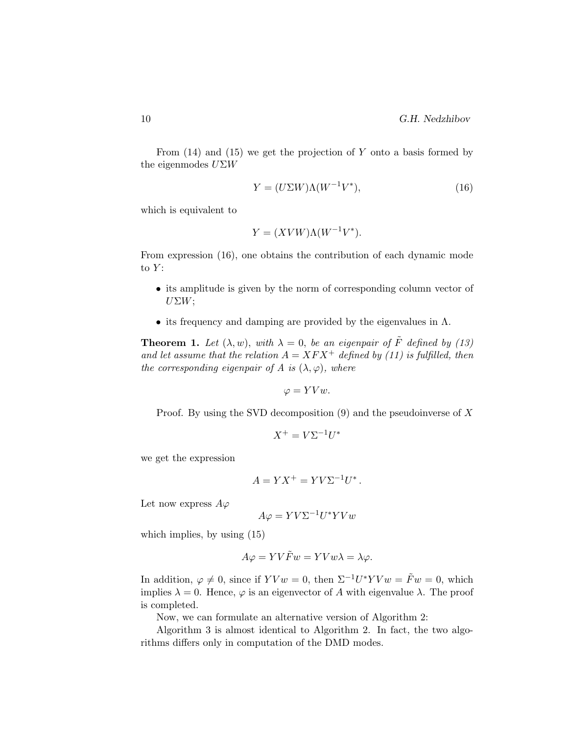From  $(14)$  and  $(15)$  we get the projection of Y onto a basis formed by the eigenmodes  $U\Sigma W$ 

$$
Y = (U\Sigma W)\Lambda (W^{-1}V^*),\tag{16}
$$

which is equivalent to

$$
Y = (XVW)\Lambda(W^{-1}V^*).
$$

From expression (16), one obtains the contribution of each dynamic mode to  $Y$ :

- its amplitude is given by the norm of corresponding column vector of  $U\Sigma W;$
- its frequency and damping are provided by the eigenvalues in  $\Lambda$ .

**Theorem 1.** Let  $(\lambda, w)$ , with  $\lambda = 0$ , be an eigenpair of  $\tilde{F}$  defined by (13) and let assume that the relation  $A = XFX^+$  defined by (11) is fulfilled, then the corresponding eigenpair of A is  $(\lambda, \varphi)$ , where

$$
\varphi = YVw.
$$

Proof. By using the SVD decomposition  $(9)$  and the pseudoinverse of X

$$
X^+ = V\Sigma^{-1}U^*
$$

we get the expression

$$
A = YX^{+} = YV\Sigma^{-1}U^{*}.
$$

Let now express  $A\varphi$ 

$$
A\varphi = YV\Sigma^{-1}U^*YVw
$$

which implies, by using (15)

$$
A\varphi = YV\tilde{F}w = YVw\lambda = \lambda\varphi.
$$

In addition,  $\varphi \neq 0$ , since if  $YVw = 0$ , then  $\Sigma^{-1}U^*YVw = \tilde{F}w = 0$ , which implies  $\lambda = 0$ . Hence,  $\varphi$  is an eigenvector of A with eigenvalue  $\lambda$ . The proof is completed.

Now, we can formulate an alternative version of Algorithm 2:

Algorithm 3 is almost identical to Algorithm 2. In fact, the two algorithms differs only in computation of the DMD modes.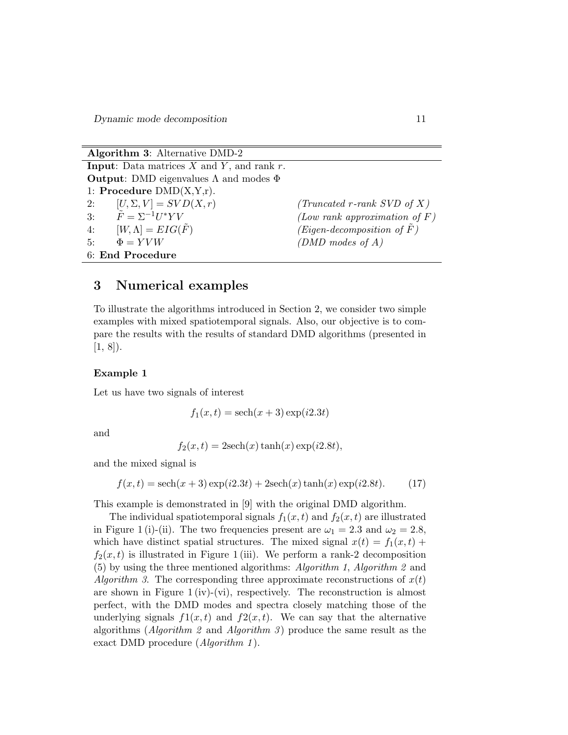Dynamic mode decomposition 11

| <b>Algorithm 3:</b> Alternative DMD-2                     |                                       |
|-----------------------------------------------------------|---------------------------------------|
| <b>Input:</b> Data matrices $X$ and $Y$ , and rank $r$ .  |                                       |
| <b>Output:</b> DMD eigenvalues $\Lambda$ and modes $\Phi$ |                                       |
| 1: Procedure $DMD(X, Y, r)$ .                             |                                       |
| 2: $[U, \Sigma, V] = SVD(X, r)$                           | (Truncated r-rank SVD of X)           |
| 3: $\tilde{F} = \Sigma^{-1} U^* Y V$                      | (Low rank approximation of $F$ )      |
| $[W,\Lambda] = EIG(\tilde{F})$<br>4:                      | (Eigen-decomposition of $\tilde{F}$ ) |
| $\Phi = YVW$<br>5:                                        | (DMD modes of $A$ )                   |
| 6: End Procedure                                          |                                       |

## 3 Numerical examples

To illustrate the algorithms introduced in Section 2, we consider two simple examples with mixed spatiotemporal signals. Also, our objective is to compare the results with the results of standard DMD algorithms (presented in  $[1, 8]$ .

### Example 1

Let us have two signals of interest

 $f_1(x,t) = \operatorname{sech}(x+3) \exp(i2.3t)$ 

and

$$
f_2(x,t) = 2\mathrm{sech}(x)\tanh(x)\exp(i2.8t),
$$

and the mixed signal is

 $f(x, t) = sech(x + 3) exp(i2.3t) + 2sech(x) tanh(x) exp(i2.8t).$  (17)

This example is demonstrated in [9] with the original DMD algorithm.

The individual spatiotemporal signals  $f_1(x,t)$  and  $f_2(x,t)$  are illustrated in Figure 1 (i)-(ii). The two frequencies present are  $\omega_1 = 2.3$  and  $\omega_2 = 2.8$ , which have distinct spatial structures. The mixed signal  $x(t) = f_1(x, t) +$  $f_2(x, t)$  is illustrated in Figure 1 (iii). We perform a rank-2 decomposition (5) by using the three mentioned algorithms: Algorithm 1, Algorithm 2 and Algorithm 3. The corresponding three approximate reconstructions of  $x(t)$ are shown in Figure 1 (iv)-(vi), respectively. The reconstruction is almost perfect, with the DMD modes and spectra closely matching those of the underlying signals  $f(x, t)$  and  $f(x, t)$ . We can say that the alternative algorithms (Algorithm 2 and Algorithm 3) produce the same result as the exact DMD procedure (*Algorithm 1*).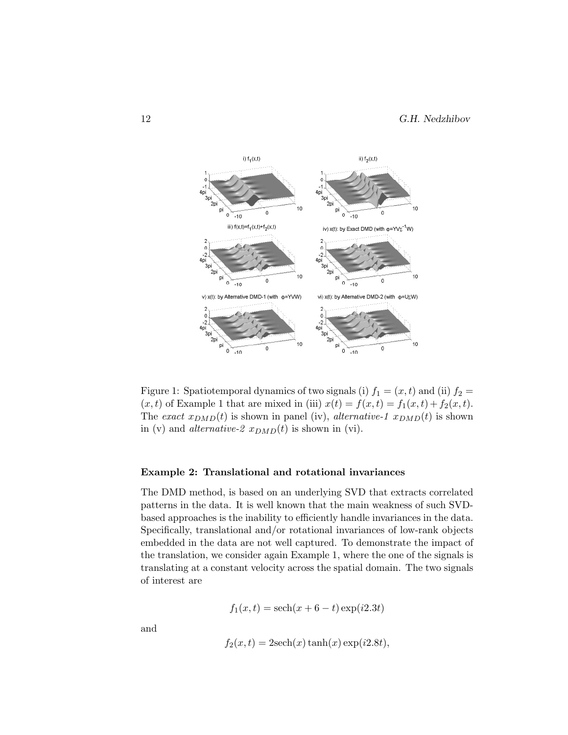

Figure 1: Spatiotemporal dynamics of two signals (i)  $f_1 = (x, t)$  and (ii)  $f_2 =$  $(x, t)$  of Example 1 that are mixed in (iii)  $x(t) = f(x, t) = f_1(x, t) + f_2(x, t)$ . The exact  $x_{DMD}(t)$  is shown in panel (iv), alternative-1  $x_{DMD}(t)$  is shown in (v) and *alternative-2*  $x_{DMD}(t)$  is shown in (vi).

#### Example 2: Translational and rotational invariances

The DMD method, is based on an underlying SVD that extracts correlated patterns in the data. It is well known that the main weakness of such SVDbased approaches is the inability to efficiently handle invariances in the data. Specifically, translational and/or rotational invariances of low-rank objects embedded in the data are not well captured. To demonstrate the impact of the translation, we consider again Example 1, where the one of the signals is translating at a constant velocity across the spatial domain. The two signals of interest are

$$
f_1(x,t) = sech(x + 6 - t) \exp(i2.3t)
$$

and

$$
f_2(x,t) = 2\mathrm{sech}(x)\tanh(x)\exp(i2.8t),
$$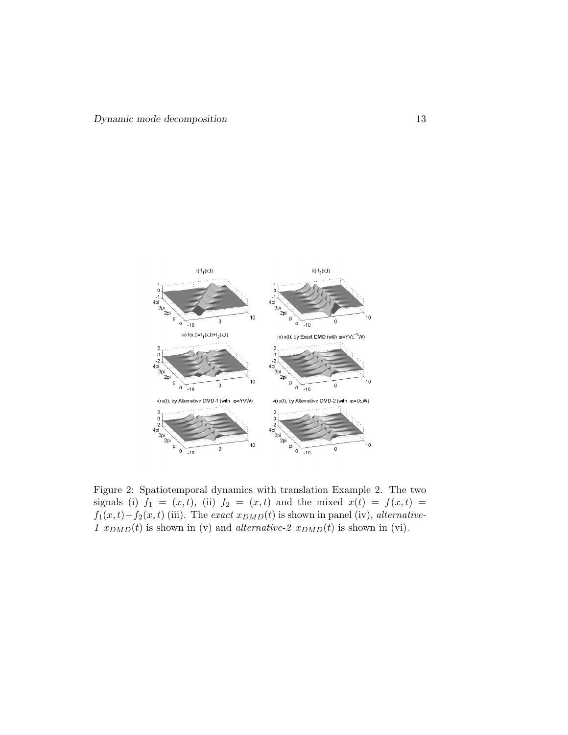

Figure 2: Spatiotemporal dynamics with translation Example 2. The two signals (i)  $f_1 = (x, t)$ , (ii)  $f_2 = (x, t)$  and the mixed  $x(t) = f(x, t) =$  $f_1(x,t)+f_2(x,t)$  (iii). The exact  $x_{DMD}(t)$  is shown in panel (iv), alternative-1  $x_{DMD}(t)$  is shown in (v) and *alternative-2*  $x_{DMD}(t)$  is shown in (vi).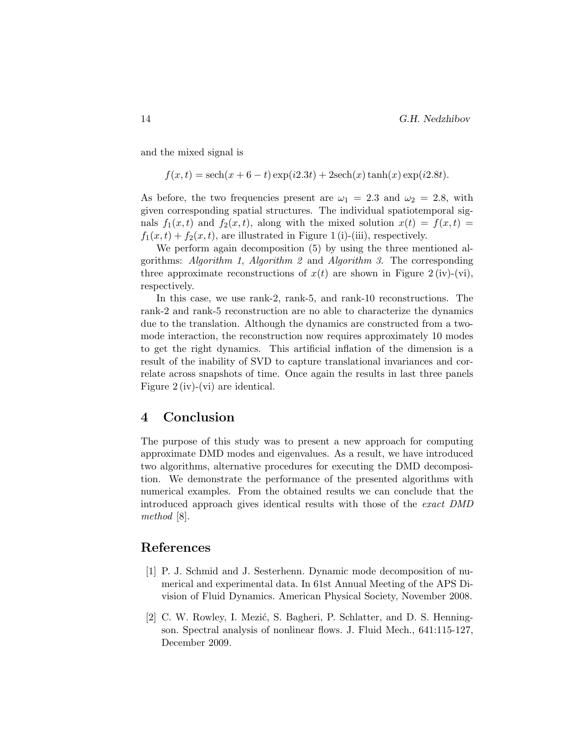and the mixed signal is

$$
f(x,t) = sech(x + 6 - t) \exp(i2.3t) + 2sech(x) \tanh(x) \exp(i2.8t).
$$

As before, the two frequencies present are  $\omega_1 = 2.3$  and  $\omega_2 = 2.8$ , with given corresponding spatial structures. The individual spatiotemporal signals  $f_1(x,t)$  and  $f_2(x,t)$ , along with the mixed solution  $x(t) = f(x,t)$  $f_1(x,t) + f_2(x,t)$ , are illustrated in Figure 1 (i)-(iii), respectively.

We perform again decomposition (5) by using the three mentioned algorithms: Algorithm 1, Algorithm 2 and Algorithm 3. The corresponding three approximate reconstructions of  $x(t)$  are shown in Figure 2 (iv)-(vi), respectively.

In this case, we use rank-2, rank-5, and rank-10 reconstructions. The rank-2 and rank-5 reconstruction are no able to characterize the dynamics due to the translation. Although the dynamics are constructed from a twomode interaction, the reconstruction now requires approximately 10 modes to get the right dynamics. This artificial inflation of the dimension is a result of the inability of SVD to capture translational invariances and correlate across snapshots of time. Once again the results in last three panels Figure 2 (iv)-(vi) are identical.

## 4 Conclusion

The purpose of this study was to present a new approach for computing approximate DMD modes and eigenvalues. As a result, we have introduced two algorithms, alternative procedures for executing the DMD decomposition. We demonstrate the performance of the presented algorithms with numerical examples. From the obtained results we can conclude that the introduced approach gives identical results with those of the exact DMD method [8].

## References

- [1] P. J. Schmid and J. Sesterhenn. Dynamic mode decomposition of numerical and experimental data. In 61st Annual Meeting of the APS Division of Fluid Dynamics. American Physical Society, November 2008.
- [2] C. W. Rowley, I. Mezić, S. Bagheri, P. Schlatter, and D. S. Henningson. Spectral analysis of nonlinear flows. J. Fluid Mech., 641:115-127, December 2009.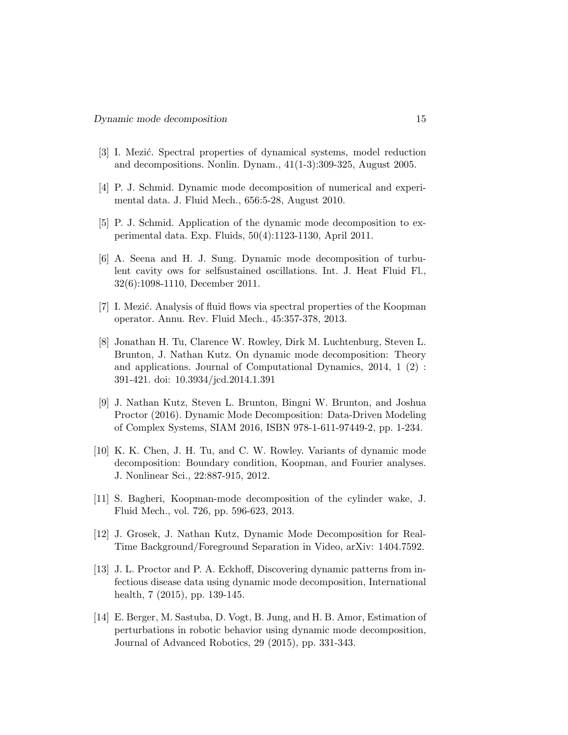- [3] I. Mezić. Spectral properties of dynamical systems, model reduction and decompositions. Nonlin. Dynam., 41(1-3):309-325, August 2005.
- [4] P. J. Schmid. Dynamic mode decomposition of numerical and experimental data. J. Fluid Mech., 656:5-28, August 2010.
- [5] P. J. Schmid. Application of the dynamic mode decomposition to experimental data. Exp. Fluids, 50(4):1123-1130, April 2011.
- [6] A. Seena and H. J. Sung. Dynamic mode decomposition of turbulent cavity ows for selfsustained oscillations. Int. J. Heat Fluid Fl., 32(6):1098-1110, December 2011.
- [7] I. Mezić. Analysis of fluid flows via spectral properties of the Koopman operator. Annu. Rev. Fluid Mech., 45:357-378, 2013.
- [8] Jonathan H. Tu, Clarence W. Rowley, Dirk M. Luchtenburg, Steven L. Brunton, J. Nathan Kutz. On dynamic mode decomposition: Theory and applications. Journal of Computational Dynamics, 2014, 1 (2) : 391-421. doi: 10.3934/jcd.2014.1.391
- [9] J. Nathan Kutz, Steven L. Brunton, Bingni W. Brunton, and Joshua Proctor (2016). Dynamic Mode Decomposition: Data-Driven Modeling of Complex Systems, SIAM 2016, ISBN 978-1-611-97449-2, pp. 1-234.
- [10] K. K. Chen, J. H. Tu, and C. W. Rowley. Variants of dynamic mode decomposition: Boundary condition, Koopman, and Fourier analyses. J. Nonlinear Sci., 22:887-915, 2012.
- [11] S. Bagheri, Koopman-mode decomposition of the cylinder wake, J. Fluid Mech., vol. 726, pp. 596-623, 2013.
- [12] J. Grosek, J. Nathan Kutz, Dynamic Mode Decomposition for Real-Time Background/Foreground Separation in Video, arXiv: 1404.7592.
- [13] J. L. Proctor and P. A. Eckhoff, Discovering dynamic patterns from infectious disease data using dynamic mode decomposition, International health, 7 (2015), pp. 139-145.
- [14] E. Berger, M. Sastuba, D. Vogt, B. Jung, and H. B. Amor, Estimation of perturbations in robotic behavior using dynamic mode decomposition, Journal of Advanced Robotics, 29 (2015), pp. 331-343.